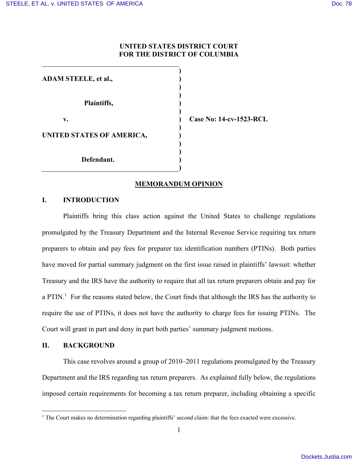## **UNITED STATES DISTRICT COURT FOR THE DISTRICT OF COLUMBIA**

| <b>ADAM STEELE, et al.,</b> |  |
|-----------------------------|--|
| Plaintiffs,                 |  |
| v.                          |  |
| UNITED STATES OF AMERICA,   |  |
| Defendant.                  |  |

**v. ) Case No: 14-cv-1523-RCL** 

## **MEMORANDUM OPINION**

## **I. INTRODUCTION**

Plaintiffs bring this class action against the United States to challenge regulations promulgated by the Treasury Department and the Internal Revenue Service requiring tax return preparers to obtain and pay fees for preparer tax identification numbers (PTINs). Both parties have moved for partial summary judgment on the first issue raised in plaintiffs' lawsuit: whether Treasury and the IRS have the authority to require that all tax return preparers obtain and pay for a PTIN.<sup>1</sup> For the reasons stated below, the Court finds that although the IRS has the authority to require the use of PTINs, it does not have the authority to charge fees for issuing PTINs. The Court will grant in part and deny in part both parties' summary judgment motions.

# **II. BACKGROUND**

This case revolves around a group of 2010–2011 regulations promulgated by the Treasury Department and the IRS regarding tax return preparers. As explained fully below, the regulations imposed certain requirements for becoming a tax return preparer, including obtaining a specific

<sup>&</sup>lt;sup>1</sup> The Court makes no determination regarding plaintiffs' second claim: that the fees exacted were excessive.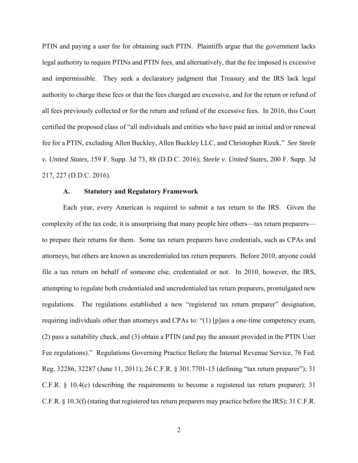PTIN and paying a user fee for obtaining such PTIN. Plaintiffs argue that the government lacks legal authority to require PTINs and PTIN fees, and alternatively, that the fee imposed is excessive and impermissible. They seek a declaratory judgment that Treasury and the IRS lack legal authority to charge these fees or that the fees charged are excessive, and for the return or refund of all fees previously collected or for the return and refund of the excessive fees. In 2016, this Court certified the proposed class of "all individuals and entities who have paid an initial and/or renewal fee for a PTIN, excluding Allen Buckley, Allen Buckley LLC, and Christopher Rizek." *See Steele v. United States*, 159 F. Supp. 3d 73, 88 (D.D.C. 2016); *Steele v. United States*, 200 F. Supp. 3d 217, 227 (D.D.C. 2016).

## **A. Statutory and Regulatory Framework**

Each year, every American is required to submit a tax return to the IRS. Given the complexity of the tax code, it is unsurprising that many people hire others—tax return preparers to prepare their returns for them. Some tax return preparers have credentials, such as CPAs and attorneys, but others are known as uncredentialed tax return preparers. Before 2010, anyone could file a tax return on behalf of someone else, credentialed or not. In 2010, however, the IRS, attempting to regulate both credentialed and uncredentialed tax return preparers, promulgated new regulations. The regulations established a new "registered tax return preparer" designation, requiring individuals other than attorneys and CPAs to: "(1) [p]ass a one-time competency exam, (2) pass a suitability check, and (3) obtain a PTIN (and pay the amount provided in the PTIN User Fee regulations)." Regulations Governing Practice Before the Internal Revenue Service, 76 Fed. Reg. 32286, 32287 (June 11, 2011); 26 C.F.R. § 301.7701-15 (defining "tax return preparer"); 31 C.F.R. § 10.4(c) (describing the requirements to become a registered tax return preparer); 31 C.F.R. § 10.3(f) (stating that registered tax return preparers may practice before the IRS); 31 C.F.R.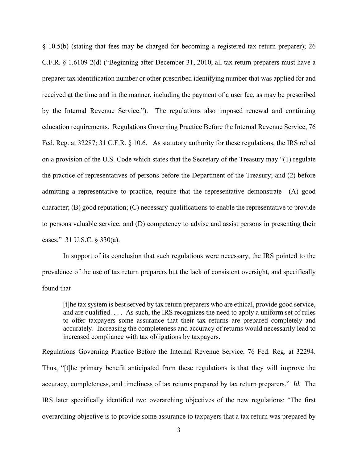§ 10.5(b) (stating that fees may be charged for becoming a registered tax return preparer); 26 C.F.R. § 1.6109-2(d) ("Beginning after December 31, 2010, all tax return preparers must have a preparer tax identification number or other prescribed identifying number that was applied for and received at the time and in the manner, including the payment of a user fee, as may be prescribed by the Internal Revenue Service."). The regulations also imposed renewal and continuing education requirements. Regulations Governing Practice Before the Internal Revenue Service, 76 Fed. Reg. at 32287; 31 C.F.R. § 10.6.As statutory authority for these regulations, the IRS relied on a provision of the U.S. Code which states that the Secretary of the Treasury may "(1) regulate the practice of representatives of persons before the Department of the Treasury; and (2) before admitting a representative to practice, require that the representative demonstrate—(A) good character; (B) good reputation; (C) necessary qualifications to enable the representative to provide to persons valuable service; and (D) competency to advise and assist persons in presenting their cases." 31 U.S.C. § 330(a).

In support of its conclusion that such regulations were necessary, the IRS pointed to the prevalence of the use of tax return preparers but the lack of consistent oversight, and specifically found that

[t]he tax system is best served by tax return preparers who are ethical, provide good service, and are qualified. . . . As such, the IRS recognizes the need to apply a uniform set of rules to offer taxpayers some assurance that their tax returns are prepared completely and accurately. Increasing the completeness and accuracy of returns would necessarily lead to increased compliance with tax obligations by taxpayers.

Regulations Governing Practice Before the Internal Revenue Service, 76 Fed. Reg. at 32294. Thus, "[t]he primary benefit anticipated from these regulations is that they will improve the accuracy, completeness, and timeliness of tax returns prepared by tax return preparers." *Id.* The IRS later specifically identified two overarching objectives of the new regulations: "The first overarching objective is to provide some assurance to taxpayers that a tax return was prepared by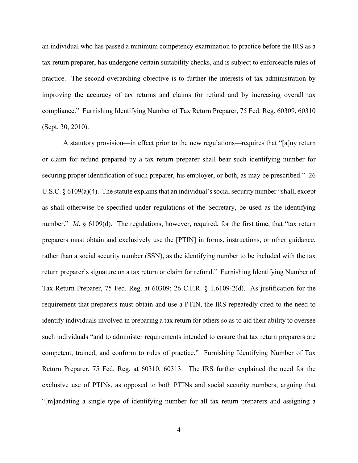an individual who has passed a minimum competency examination to practice before the IRS as a tax return preparer, has undergone certain suitability checks, and is subject to enforceable rules of practice. The second overarching objective is to further the interests of tax administration by improving the accuracy of tax returns and claims for refund and by increasing overall tax compliance." Furnishing Identifying Number of Tax Return Preparer, 75 Fed. Reg. 60309, 60310 (Sept. 30, 2010).

A statutory provision—in effect prior to the new regulations—requires that "[a]ny return or claim for refund prepared by a tax return preparer shall bear such identifying number for securing proper identification of such preparer, his employer, or both, as may be prescribed." 26 U.S.C. § 6109(a)(4). The statute explains that an individual's social security number "shall, except as shall otherwise be specified under regulations of the Secretary, be used as the identifying number." *Id.* § 6109(d). The regulations, however, required, for the first time, that "tax return preparers must obtain and exclusively use the [PTIN] in forms, instructions, or other guidance, rather than a social security number (SSN), as the identifying number to be included with the tax return preparer's signature on a tax return or claim for refund." Furnishing Identifying Number of Tax Return Preparer, 75 Fed. Reg. at 60309; 26 C.F.R. § 1.6109-2(d). As justification for the requirement that preparers must obtain and use a PTIN, the IRS repeatedly cited to the need to identify individuals involved in preparing a tax return for others so as to aid their ability to oversee such individuals "and to administer requirements intended to ensure that tax return preparers are competent, trained, and conform to rules of practice." Furnishing Identifying Number of Tax Return Preparer, 75 Fed. Reg. at 60310, 60313. The IRS further explained the need for the exclusive use of PTINs, as opposed to both PTINs and social security numbers, arguing that "[m]andating a single type of identifying number for all tax return preparers and assigning a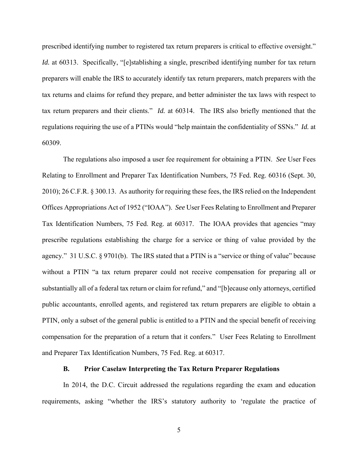prescribed identifying number to registered tax return preparers is critical to effective oversight." *Id.* at 60313. Specifically, "[e]stablishing a single, prescribed identifying number for tax return preparers will enable the IRS to accurately identify tax return preparers, match preparers with the tax returns and claims for refund they prepare, and better administer the tax laws with respect to tax return preparers and their clients." *Id.* at 60314. The IRS also briefly mentioned that the regulations requiring the use of a PTINs would "help maintain the confidentiality of SSNs." *Id.* at 60309.

 The regulations also imposed a user fee requirement for obtaining a PTIN. *See* User Fees Relating to Enrollment and Preparer Tax Identification Numbers, 75 Fed. Reg. 60316 (Sept. 30, 2010); 26 C.F.R. § 300.13. As authority for requiring these fees, the IRS relied on the Independent Offices Appropriations Act of 1952 ("IOAA"). *See* User Fees Relating to Enrollment and Preparer Tax Identification Numbers, 75 Fed. Reg. at 60317. The IOAA provides that agencies "may prescribe regulations establishing the charge for a service or thing of value provided by the agency." 31 U.S.C. § 9701(b). The IRS stated that a PTIN is a "service or thing of value" because without a PTIN "a tax return preparer could not receive compensation for preparing all or substantially all of a federal tax return or claim for refund," and "[b]ecause only attorneys, certified public accountants, enrolled agents, and registered tax return preparers are eligible to obtain a PTIN, only a subset of the general public is entitled to a PTIN and the special benefit of receiving compensation for the preparation of a return that it confers." User Fees Relating to Enrollment and Preparer Tax Identification Numbers, 75 Fed. Reg. at 60317.

## **B. Prior Caselaw Interpreting the Tax Return Preparer Regulations**

In 2014, the D.C. Circuit addressed the regulations regarding the exam and education requirements, asking "whether the IRS's statutory authority to 'regulate the practice of

5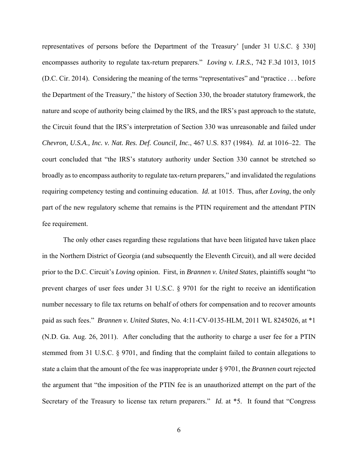representatives of persons before the Department of the Treasury' [under 31 U.S.C. § 330] encompasses authority to regulate tax-return preparers." *Loving v. I.R.S.*, 742 F.3d 1013, 1015 (D.C. Cir. 2014). Considering the meaning of the terms "representatives" and "practice . . . before the Department of the Treasury," the history of Section 330, the broader statutory framework, the nature and scope of authority being claimed by the IRS, and the IRS's past approach to the statute, the Circuit found that the IRS's interpretation of Section 330 was unreasonable and failed under *Chevron, U.S.A., Inc. v. Nat. Res. Def. Council, Inc.*, 467 U.S. 837 (1984). *Id.* at 1016–22. The court concluded that "the IRS's statutory authority under Section 330 cannot be stretched so broadly as to encompass authority to regulate tax-return preparers," and invalidated the regulations requiring competency testing and continuing education. *Id.* at 1015. Thus, after *Loving*, the only part of the new regulatory scheme that remains is the PTIN requirement and the attendant PTIN fee requirement.

 The only other cases regarding these regulations that have been litigated have taken place in the Northern District of Georgia (and subsequently the Eleventh Circuit), and all were decided prior to the D.C. Circuit's *Loving* opinion. First, in *Brannen v. United States*, plaintiffs sought "to prevent charges of user fees under 31 U.S.C. § 9701 for the right to receive an identification number necessary to file tax returns on behalf of others for compensation and to recover amounts paid as such fees." *Brannen v. United States*, No. 4:11-CV-0135-HLM, 2011 WL 8245026, at \*1 (N.D. Ga. Aug. 26, 2011). After concluding that the authority to charge a user fee for a PTIN stemmed from 31 U.S.C. § 9701, and finding that the complaint failed to contain allegations to state a claim that the amount of the fee was inappropriate under § 9701, the *Brannen* court rejected the argument that "the imposition of the PTIN fee is an unauthorized attempt on the part of the Secretary of the Treasury to license tax return preparers." *Id.* at \*5. It found that "Congress"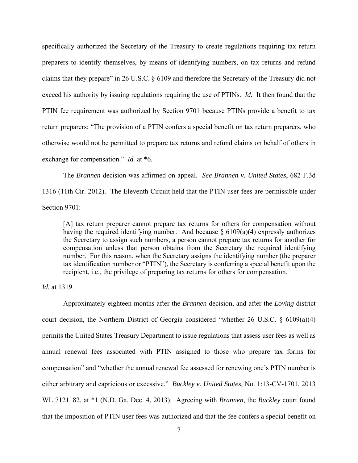specifically authorized the Secretary of the Treasury to create regulations requiring tax return preparers to identify themselves, by means of identifying numbers, on tax returns and refund claims that they prepare" in 26 U.S.C. § 6109 and therefore the Secretary of the Treasury did not exceed his authority by issuing regulations requiring the use of PTINs. *Id.* It then found that the PTIN fee requirement was authorized by Section 9701 because PTINs provide a benefit to tax return preparers: "The provision of a PTIN confers a special benefit on tax return preparers, who otherwise would not be permitted to prepare tax returns and refund claims on behalf of others in exchange for compensation." *Id.* at \*6.

 The *Brannen* decision was affirmed on appeal. *See Brannen v. United States*, 682 F.3d 1316 (11th Cir. 2012). The Eleventh Circuit held that the PTIN user fees are permissible under Section 9701:

[A] tax return preparer cannot prepare tax returns for others for compensation without having the required identifying number. And because  $\S$  6109(a)(4) expressly authorizes the Secretary to assign such numbers, a person cannot prepare tax returns for another for compensation unless that person obtains from the Secretary the required identifying number. For this reason, when the Secretary assigns the identifying number (the preparer tax identification number or "PTIN"), the Secretary is conferring a special benefit upon the recipient, i.e., the privilege of preparing tax returns for others for compensation.

*Id.* at 1319.

 Approximately eighteen months after the *Brannen* decision, and after the *Loving* district court decision, the Northern District of Georgia considered "whether 26 U.S.C. § 6109(a)(4) permits the United States Treasury Department to issue regulations that assess user fees as well as annual renewal fees associated with PTIN assigned to those who prepare tax forms for compensation" and "whether the annual renewal fee assessed for renewing one's PTIN number is either arbitrary and capricious or excessive." *Buckley v. United States*, No. 1:13-CV-1701, 2013 WL 7121182, at \*1 (N.D. Ga. Dec. 4, 2013). Agreeing with *Brannen*, the *Buckley* court found that the imposition of PTIN user fees was authorized and that the fee confers a special benefit on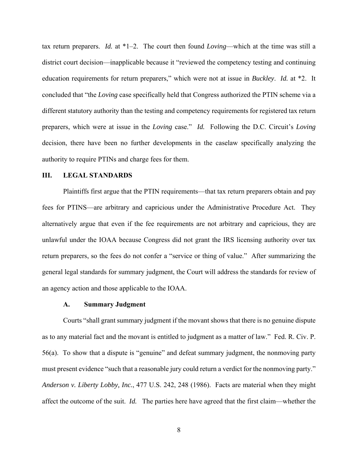tax return preparers. *Id.* at \*1–2. The court then found *Loving*—which at the time was still a district court decision—inapplicable because it "reviewed the competency testing and continuing education requirements for return preparers," which were not at issue in *Buckley*. *Id.* at \*2. It concluded that "the *Loving* case specifically held that Congress authorized the PTIN scheme via a different statutory authority than the testing and competency requirements for registered tax return preparers, which were at issue in the *Loving* case." *Id.* Following the D.C. Circuit's *Loving*  decision, there have been no further developments in the caselaw specifically analyzing the authority to require PTINs and charge fees for them.

### **III. LEGAL STANDARDS**

Plaintiffs first argue that the PTIN requirements—that tax return preparers obtain and pay fees for PTINS—are arbitrary and capricious under the Administrative Procedure Act. They alternatively argue that even if the fee requirements are not arbitrary and capricious, they are unlawful under the IOAA because Congress did not grant the IRS licensing authority over tax return preparers, so the fees do not confer a "service or thing of value." After summarizing the general legal standards for summary judgment, the Court will address the standards for review of an agency action and those applicable to the IOAA.

#### **A. Summary Judgment**

Courts "shall grant summary judgment if the movant shows that there is no genuine dispute as to any material fact and the movant is entitled to judgment as a matter of law." Fed. R. Civ. P. 56(a). To show that a dispute is "genuine" and defeat summary judgment, the nonmoving party must present evidence "such that a reasonable jury could return a verdict for the nonmoving party." *Anderson v. Liberty Lobby, Inc.*, 477 U.S. 242, 248 (1986). Facts are material when they might affect the outcome of the suit. *Id.* The parties here have agreed that the first claim—whether the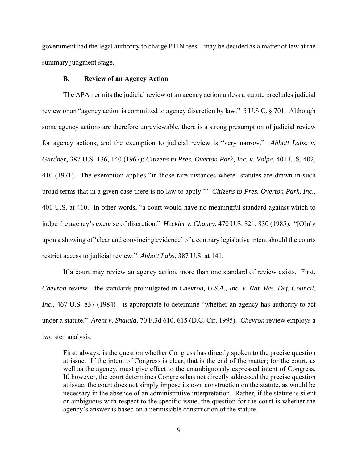government had the legal authority to charge PTIN fees—may be decided as a matter of law at the summary judgment stage.

### **B. Review of an Agency Action**

The APA permits the judicial review of an agency action unless a statute precludes judicial review or an "agency action is committed to agency discretion by law." 5 U.S.C. § 701. Although some agency actions are therefore unreviewable, there is a strong presumption of judicial review for agency actions, and the exemption to judicial review is "very narrow." *Abbott Labs. v. Gardner*, 387 U.S. 136, 140 (1967); *Citizens to Pres. Overton Park, Inc. v. Volpe*, 401 U.S. 402, 410 (1971). The exemption applies "in those rare instances where 'statutes are drawn in such broad terms that in a given case there is no law to apply.'" *Citizens to Pres. Overton Park, Inc.*, 401 U.S. at 410. In other words, "a court would have no meaningful standard against which to judge the agency's exercise of discretion." *Heckler v. Chaney*, 470 U.S. 821, 830 (1985). "[O]nly upon a showing of 'clear and convincing evidence' of a contrary legislative intent should the courts restrict access to judicial review." *Abbott Labs*, 387 U.S. at 141.

If a court may review an agency action, more than one standard of review exists. First, *Chevron* review—the standards promulgated in *Chevron, U.S.A., Inc. v. Nat. Res. Def. Council, Inc.*, 467 U.S. 837 (1984)—is appropriate to determine "whether an agency has authority to act under a statute." *Arent v. Shalala*, 70 F.3d 610, 615 (D.C. Cir. 1995). *Chevron* review employs a two step analysis:

First, always, is the question whether Congress has directly spoken to the precise question at issue. If the intent of Congress is clear, that is the end of the matter; for the court, as well as the agency, must give effect to the unambiguously expressed intent of Congress. If, however, the court determines Congress has not directly addressed the precise question at issue, the court does not simply impose its own construction on the statute, as would be necessary in the absence of an administrative interpretation. Rather, if the statute is silent or ambiguous with respect to the specific issue, the question for the court is whether the agency's answer is based on a permissible construction of the statute.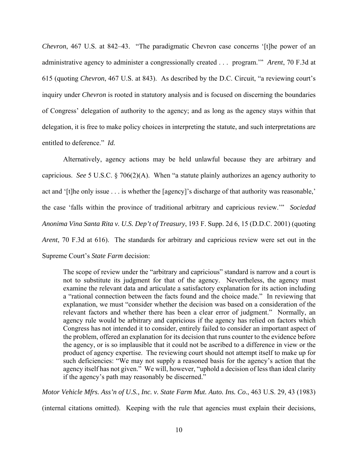*Chevron*, 467 U.S. at 842–43. "The paradigmatic Chevron case concerns '[t]he power of an administrative agency to administer a congressionally created . . . program.'" *Arent*, 70 F.3d at 615 (quoting *Chevron*, 467 U.S. at 843). As described by the D.C. Circuit, "a reviewing court's inquiry under *Chevron* is rooted in statutory analysis and is focused on discerning the boundaries of Congress' delegation of authority to the agency; and as long as the agency stays within that delegation, it is free to make policy choices in interpreting the statute, and such interpretations are entitled to deference." *Id.* 

 Alternatively, agency actions may be held unlawful because they are arbitrary and capricious. *See* 5 U.S.C. § 706(2)(A). When "a statute plainly authorizes an agency authority to act and '[t]he only issue . . . is whether the [agency]'s discharge of that authority was reasonable,' the case 'falls within the province of traditional arbitrary and capricious review.'" *Sociedad Anonima Vina Santa Rita v. U.S. Dep't of Treasury*, 193 F. Supp. 2d 6, 15 (D.D.C. 2001) (quoting *Arent*, 70 F.3d at 616). The standards for arbitrary and capricious review were set out in the Supreme Court's *State Farm* decision:

The scope of review under the "arbitrary and capricious" standard is narrow and a court is not to substitute its judgment for that of the agency. Nevertheless, the agency must examine the relevant data and articulate a satisfactory explanation for its action including a "rational connection between the facts found and the choice made." In reviewing that explanation, we must "consider whether the decision was based on a consideration of the relevant factors and whether there has been a clear error of judgment." Normally, an agency rule would be arbitrary and capricious if the agency has relied on factors which Congress has not intended it to consider, entirely failed to consider an important aspect of the problem, offered an explanation for its decision that runs counter to the evidence before the agency, or is so implausible that it could not be ascribed to a difference in view or the product of agency expertise. The reviewing court should not attempt itself to make up for such deficiencies: "We may not supply a reasoned basis for the agency's action that the agency itself has not given." We will, however, "uphold a decision of less than ideal clarity if the agency's path may reasonably be discerned."

*Motor Vehicle Mfrs. Ass'n of U.S., Inc. v. State Farm Mut. Auto. Ins. Co.*, 463 U.S. 29, 43 (1983)

(internal citations omitted). Keeping with the rule that agencies must explain their decisions,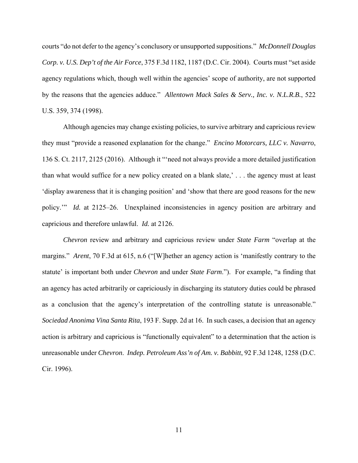courts "do not defer to the agency's conclusory or unsupported suppositions." *McDonnell Douglas Corp. v. U.S. Dep't of the Air Force*, 375 F.3d 1182, 1187 (D.C. Cir. 2004). Courts must "set aside agency regulations which, though well within the agencies' scope of authority, are not supported by the reasons that the agencies adduce." *Allentown Mack Sales & Serv., Inc. v. N.L.R.B.*, 522 U.S. 359, 374 (1998).

 Although agencies may change existing policies, to survive arbitrary and capricious review they must "provide a reasoned explanation for the change." *Encino Motorcars, LLC v. Navarro*, 136 S. Ct. 2117, 2125 (2016). Although it "'need not always provide a more detailed justification than what would suffice for a new policy created on a blank slate,' . . . the agency must at least 'display awareness that it is changing position' and 'show that there are good reasons for the new policy.'" *Id.* at 2125–26. Unexplained inconsistencies in agency position are arbitrary and capricious and therefore unlawful. *Id.* at 2126.

*Chevron* review and arbitrary and capricious review under *State Farm* "overlap at the margins." *Arent*, 70 F.3d at 615, n.6 ("[W]hether an agency action is 'manifestly contrary to the statute' is important both under *Chevron* and under *State Farm*."). For example, "a finding that an agency has acted arbitrarily or capriciously in discharging its statutory duties could be phrased as a conclusion that the agency's interpretation of the controlling statute is unreasonable." *Sociedad Anonima Vina Santa Rita*, 193 F. Supp. 2d at 16. In such cases, a decision that an agency action is arbitrary and capricious is "functionally equivalent" to a determination that the action is unreasonable under *Chevron*. *Indep. Petroleum Ass'n of Am. v. Babbitt*, 92 F.3d 1248, 1258 (D.C. Cir. 1996).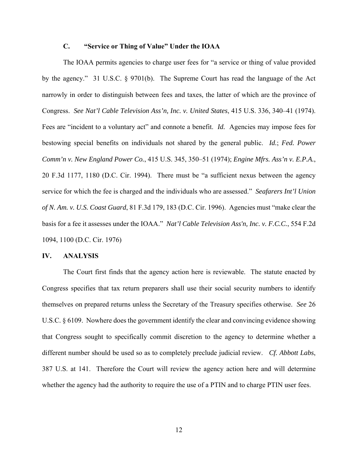# **C. "Service or Thing of Value" Under the IOAA**

The IOAA permits agencies to charge user fees for "a service or thing of value provided by the agency." 31 U.S.C. § 9701(b). The Supreme Court has read the language of the Act narrowly in order to distinguish between fees and taxes, the latter of which are the province of Congress. *See Nat'l Cable Television Ass'n, Inc. v. United States*, 415 U.S. 336, 340–41 (1974). Fees are "incident to a voluntary act" and connote a benefit. *Id.* Agencies may impose fees for bestowing special benefits on individuals not shared by the general public. *Id.*; *Fed. Power Comm'n v. New England Power Co.*, 415 U.S. 345, 350–51 (1974); *Engine Mfrs. Ass'n v. E.P.A.*, 20 F.3d 1177, 1180 (D.C. Cir. 1994). There must be "a sufficient nexus between the agency service for which the fee is charged and the individuals who are assessed." *Seafarers Int'l Union of N. Am. v. U.S. Coast Guard*, 81 F.3d 179, 183 (D.C. Cir. 1996). Agencies must "make clear the basis for a fee it assesses under the IOAA." *Nat'l Cable Television Ass'n, Inc. v. F.C.C.*, 554 F.2d 1094, 1100 (D.C. Cir. 1976)

#### **IV. ANALYSIS**

The Court first finds that the agency action here is reviewable. The statute enacted by Congress specifies that tax return preparers shall use their social security numbers to identify themselves on prepared returns unless the Secretary of the Treasury specifies otherwise. *See* 26 U.S.C. § 6109. Nowhere does the government identify the clear and convincing evidence showing that Congress sought to specifically commit discretion to the agency to determine whether a different number should be used so as to completely preclude judicial review. *Cf. Abbott Labs*, 387 U.S. at 141. Therefore the Court will review the agency action here and will determine whether the agency had the authority to require the use of a PTIN and to charge PTIN user fees.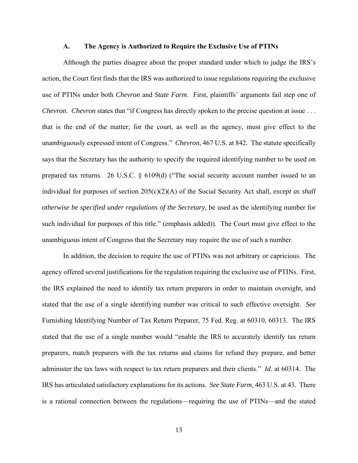#### **A. The Agency is Authorized to Require the Exclusive Use of PTINs**

Although the parties disagree about the proper standard under which to judge the IRS's action, the Court first finds that the IRS was authorized to issue regulations requiring the exclusive use of PTINs under both *Chevron* and *State Farm*. First, plaintiffs' arguments fail step one of *Chevron. Chevron* states that "if Congress has directly spoken to the precise question at issue . . . that is the end of the matter; for the court, as well as the agency, must give effect to the unambiguously expressed intent of Congress." *Chevron*, 467 U.S. at 842. The statute specifically says that the Secretary has the authority to specify the required identifying number to be used on prepared tax returns. 26 U.S.C. § 6109(d) ("The social security account number issued to an individual for purposes of section 205(c)(2)(A) of the Social Security Act shall, *except as shall otherwise be specified under regulations of the Secretary*, be used as the identifying number for such individual for purposes of this title." (emphasis added)). The Court must give effect to the unambiguous intent of Congress that the Secretary may require the use of such a number.

In addition, the decision to require the use of PTINs was not arbitrary or capricious. The agency offered several justifications for the regulation requiring the exclusive use of PTINs. First, the IRS explained the need to identify tax return preparers in order to maintain oversight, and stated that the use of a single identifying number was critical to such effective oversight. *See*  Furnishing Identifying Number of Tax Return Preparer, 75 Fed. Reg. at 60310, 60313. The IRS stated that the use of a single number would "enable the IRS to accurately identify tax return preparers, match preparers with the tax returns and claims for refund they prepare, and better administer the tax laws with respect to tax return preparers and their clients." *Id.* at 60314. The IRS has articulated satisfactory explanations for its actions. *See State Farm*, 463 U.S. at 43. There is a rational connection between the regulations—requiring the use of PTINs—and the stated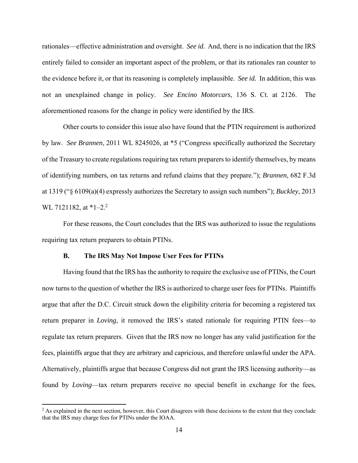rationales—effective administration and oversight. *See id.* And, there is no indication that the IRS entirely failed to consider an important aspect of the problem, or that its rationales ran counter to the evidence before it, or that its reasoning is completely implausible. *See id.* In addition, this was not an unexplained change in policy. *See Encino Motorcars*, 136 S. Ct. at 2126. The aforementioned reasons for the change in policy were identified by the IRS.

Other courts to consider this issue also have found that the PTIN requirement is authorized by law. *See Brannen*, 2011 WL 8245026, at \*5 ("Congress specifically authorized the Secretary of the Treasury to create regulations requiring tax return preparers to identify themselves, by means of identifying numbers, on tax returns and refund claims that they prepare."); *Brannen*, 682 F.3d at 1319 ("§ 6109(a)(4) expressly authorizes the Secretary to assign such numbers"); *Buckley*, 2013 WL 7121182, at  $*1-2.2$ 

For these reasons, the Court concludes that the IRS was authorized to issue the regulations requiring tax return preparers to obtain PTINs.

#### **B. The IRS May Not Impose User Fees for PTINs**

Having found that the IRS has the authority to require the exclusive use of PTINs, the Court now turns to the question of whether the IRS is authorized to charge user fees for PTINs. Plaintiffs argue that after the D.C. Circuit struck down the eligibility criteria for becoming a registered tax return preparer in *Loving*, it removed the IRS's stated rationale for requiring PTIN fees—to regulate tax return preparers. Given that the IRS now no longer has any valid justification for the fees, plaintiffs argue that they are arbitrary and capricious, and therefore unlawful under the APA. Alternatively, plaintiffs argue that because Congress did not grant the IRS licensing authority—as found by *Loving*—tax return preparers receive no special benefit in exchange for the fees,

 $2$  As explained in the next section, however, this Court disagrees with these decisions to the extent that they conclude that the IRS may charge fees for PTINs under the IOAA.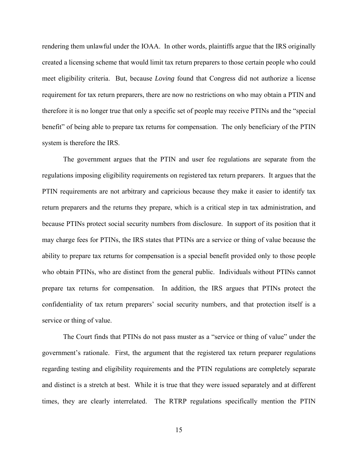rendering them unlawful under the IOAA. In other words, plaintiffs argue that the IRS originally created a licensing scheme that would limit tax return preparers to those certain people who could meet eligibility criteria. But, because *Loving* found that Congress did not authorize a license requirement for tax return preparers, there are now no restrictions on who may obtain a PTIN and therefore it is no longer true that only a specific set of people may receive PTINs and the "special benefit" of being able to prepare tax returns for compensation. The only beneficiary of the PTIN system is therefore the IRS.

The government argues that the PTIN and user fee regulations are separate from the regulations imposing eligibility requirements on registered tax return preparers. It argues that the PTIN requirements are not arbitrary and capricious because they make it easier to identify tax return preparers and the returns they prepare, which is a critical step in tax administration, and because PTINs protect social security numbers from disclosure. In support of its position that it may charge fees for PTINs, the IRS states that PTINs are a service or thing of value because the ability to prepare tax returns for compensation is a special benefit provided only to those people who obtain PTINs, who are distinct from the general public. Individuals without PTINs cannot prepare tax returns for compensation. In addition, the IRS argues that PTINs protect the confidentiality of tax return preparers' social security numbers, and that protection itself is a service or thing of value.

The Court finds that PTINs do not pass muster as a "service or thing of value" under the government's rationale. First, the argument that the registered tax return preparer regulations regarding testing and eligibility requirements and the PTIN regulations are completely separate and distinct is a stretch at best. While it is true that they were issued separately and at different times, they are clearly interrelated. The RTRP regulations specifically mention the PTIN

15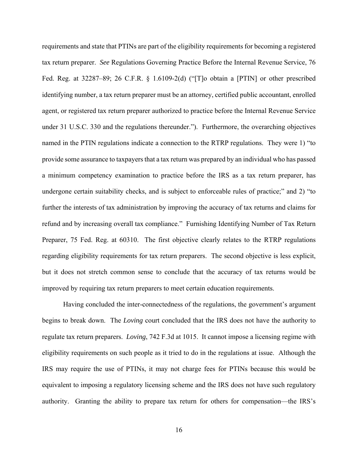requirements and state that PTINs are part of the eligibility requirements for becoming a registered tax return preparer. *See* Regulations Governing Practice Before the Internal Revenue Service, 76 Fed. Reg. at 32287–89; 26 C.F.R. § 1.6109-2(d) ("[T]o obtain a [PTIN] or other prescribed identifying number, a tax return preparer must be an attorney, certified public accountant, enrolled agent, or registered tax return preparer authorized to practice before the Internal Revenue Service under 31 U.S.C. 330 and the regulations thereunder."). Furthermore, the overarching objectives named in the PTIN regulations indicate a connection to the RTRP regulations. They were 1) "to provide some assurance to taxpayers that a tax return was prepared by an individual who has passed a minimum competency examination to practice before the IRS as a tax return preparer, has undergone certain suitability checks, and is subject to enforceable rules of practice;" and 2) "to further the interests of tax administration by improving the accuracy of tax returns and claims for refund and by increasing overall tax compliance." Furnishing Identifying Number of Tax Return Preparer, 75 Fed. Reg. at 60310. The first objective clearly relates to the RTRP regulations regarding eligibility requirements for tax return preparers. The second objective is less explicit, but it does not stretch common sense to conclude that the accuracy of tax returns would be improved by requiring tax return preparers to meet certain education requirements.

Having concluded the inter-connectedness of the regulations, the government's argument begins to break down. The *Loving* court concluded that the IRS does not have the authority to regulate tax return preparers. *Loving*, 742 F.3d at 1015. It cannot impose a licensing regime with eligibility requirements on such people as it tried to do in the regulations at issue. Although the IRS may require the use of PTINs, it may not charge fees for PTINs because this would be equivalent to imposing a regulatory licensing scheme and the IRS does not have such regulatory authority. Granting the ability to prepare tax return for others for compensation—the IRS's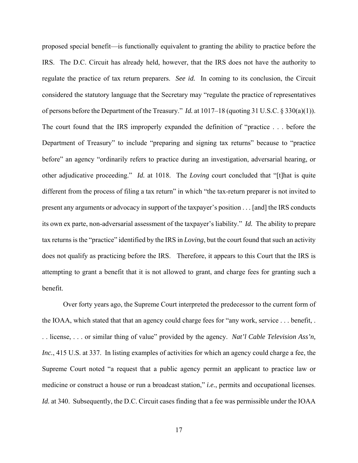proposed special benefit—is functionally equivalent to granting the ability to practice before the IRS. The D.C. Circuit has already held, however, that the IRS does not have the authority to regulate the practice of tax return preparers. *See id.* In coming to its conclusion, the Circuit considered the statutory language that the Secretary may "regulate the practice of representatives of persons before the Department of the Treasury." *Id.* at 1017–18 (quoting 31 U.S.C. § 330(a)(1)). The court found that the IRS improperly expanded the definition of "practice . . . before the Department of Treasury" to include "preparing and signing tax returns" because to "practice before" an agency "ordinarily refers to practice during an investigation, adversarial hearing, or other adjudicative proceeding." *Id.* at 1018. The *Loving* court concluded that "[t]hat is quite different from the process of filing a tax return" in which "the tax-return preparer is not invited to present any arguments or advocacy in support of the taxpayer's position . . . [and] the IRS conducts its own ex parte, non-adversarial assessment of the taxpayer's liability." *Id.* The ability to prepare tax returns is the "practice" identified by the IRS in *Loving*, but the court found that such an activity does not qualify as practicing before the IRS. Therefore, it appears to this Court that the IRS is attempting to grant a benefit that it is not allowed to grant, and charge fees for granting such a benefit.

Over forty years ago, the Supreme Court interpreted the predecessor to the current form of the IOAA, which stated that that an agency could charge fees for "any work, service . . . benefit, . . . license, . . . or similar thing of value" provided by the agency. *Nat'l Cable Television Ass'n, Inc.*, 415 U.S. at 337. In listing examples of activities for which an agency could charge a fee, the Supreme Court noted "a request that a public agency permit an applicant to practice law or medicine or construct a house or run a broadcast station," *i.e.*, permits and occupational licenses. *Id.* at 340. Subsequently, the D.C. Circuit cases finding that a fee was permissible under the IOAA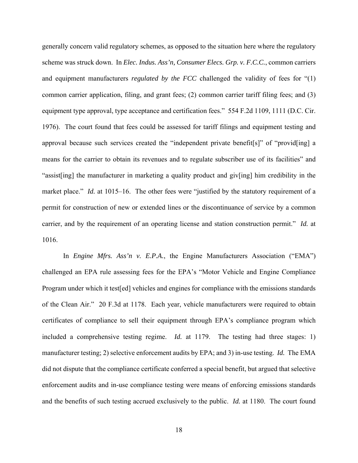generally concern valid regulatory schemes, as opposed to the situation here where the regulatory scheme was struck down. In *Elec. Indus. Ass'n, Consumer Elecs. Grp. v. F.C.C.*, common carriers and equipment manufacturers *regulated by the FCC* challenged the validity of fees for "(1) common carrier application, filing, and grant fees; (2) common carrier tariff filing fees; and (3) equipment type approval, type acceptance and certification fees." 554 F.2d 1109, 1111 (D.C. Cir. 1976). The court found that fees could be assessed for tariff filings and equipment testing and approval because such services created the "independent private benefit[s]" of "provid[ing] a means for the carrier to obtain its revenues and to regulate subscriber use of its facilities" and "assist[ing] the manufacturer in marketing a quality product and giv[ing] him credibility in the market place." *Id.* at 1015–16. The other fees were "justified by the statutory requirement of a permit for construction of new or extended lines or the discontinuance of service by a common carrier, and by the requirement of an operating license and station construction permit." *Id.* at 1016.

In *Engine Mfrs. Ass'n v. E.P.A.*, the Engine Manufacturers Association ("EMA") challenged an EPA rule assessing fees for the EPA's "Motor Vehicle and Engine Compliance Program under which it test[ed] vehicles and engines for compliance with the emissions standards of the Clean Air." 20 F.3d at 1178. Each year, vehicle manufacturers were required to obtain certificates of compliance to sell their equipment through EPA's compliance program which included a comprehensive testing regime. *Id.* at 1179. The testing had three stages: 1) manufacturer testing; 2) selective enforcement audits by EPA; and 3) in-use testing. *Id.* The EMA did not dispute that the compliance certificate conferred a special benefit, but argued that selective enforcement audits and in-use compliance testing were means of enforcing emissions standards and the benefits of such testing accrued exclusively to the public. *Id.* at 1180. The court found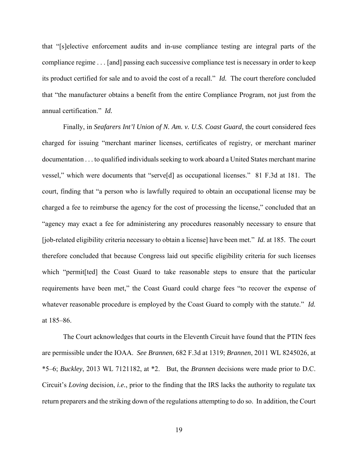that "[s]elective enforcement audits and in-use compliance testing are integral parts of the compliance regime . . . [and] passing each successive compliance test is necessary in order to keep its product certified for sale and to avoid the cost of a recall." *Id.* The court therefore concluded that "the manufacturer obtains a benefit from the entire Compliance Program, not just from the annual certification." *Id.* 

Finally, in *Seafarers Int'l Union of N. Am. v. U.S. Coast Guard*, the court considered fees charged for issuing "merchant mariner licenses, certificates of registry, or merchant mariner documentation . . . to qualified individuals seeking to work aboard a United States merchant marine vessel," which were documents that "serve[d] as occupational licenses." 81 F.3d at 181. The court, finding that "a person who is lawfully required to obtain an occupational license may be charged a fee to reimburse the agency for the cost of processing the license," concluded that an "agency may exact a fee for administering any procedures reasonably necessary to ensure that [job-related eligibility criteria necessary to obtain a license] have been met." *Id.* at 185. The court therefore concluded that because Congress laid out specific eligibility criteria for such licenses which "permit[ted] the Coast Guard to take reasonable steps to ensure that the particular requirements have been met," the Coast Guard could charge fees "to recover the expense of whatever reasonable procedure is employed by the Coast Guard to comply with the statute." *Id.*  at 185–86.

The Court acknowledges that courts in the Eleventh Circuit have found that the PTIN fees are permissible under the IOAA. *See Brannen*, 682 F.3d at 1319; *Brannen*, 2011 WL 8245026, at \*5–6; *Buckley*, 2013 WL 7121182, at \*2. But, the *Brannen* decisions were made prior to D.C. Circuit's *Loving* decision, *i.e.*, prior to the finding that the IRS lacks the authority to regulate tax return preparers and the striking down of the regulations attempting to do so. In addition, the Court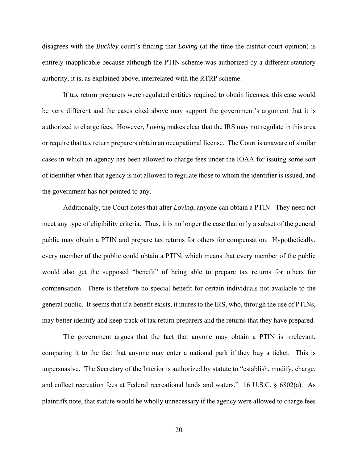disagrees with the *Buckley* court's finding that *Loving* (at the time the district court opinion) is entirely inapplicable because although the PTIN scheme was authorized by a different statutory authority, it is, as explained above, interrelated with the RTRP scheme.

If tax return preparers were regulated entities required to obtain licenses, this case would be very different and the cases cited above may support the government's argument that it is authorized to charge fees. However, *Loving* makes clear that the IRS may not regulate in this area or require that tax return preparers obtain an occupational license. The Court is unaware of similar cases in which an agency has been allowed to charge fees under the IOAA for issuing some sort of identifier when that agency is not allowed to regulate those to whom the identifier is issued, and the government has not pointed to any.

Additionally, the Court notes that after *Loving*, anyone can obtain a PTIN. They need not meet any type of eligibility criteria. Thus, it is no longer the case that only a subset of the general public may obtain a PTIN and prepare tax returns for others for compensation. Hypothetically, every member of the public could obtain a PTIN, which means that every member of the public would also get the supposed "benefit" of being able to prepare tax returns for others for compensation. There is therefore no special benefit for certain individuals not available to the general public. It seems that if a benefit exists, it inures to the IRS, who, through the use of PTINs, may better identify and keep track of tax return preparers and the returns that they have prepared.

The government argues that the fact that anyone may obtain a PTIN is irrelevant, comparing it to the fact that anyone may enter a national park if they buy a ticket. This is unpersuasive. The Secretary of the Interior is authorized by statute to "establish, modify, charge, and collect recreation fees at Federal recreational lands and waters." 16 U.S.C. § 6802(a). As plaintiffs note, that statute would be wholly unnecessary if the agency were allowed to charge fees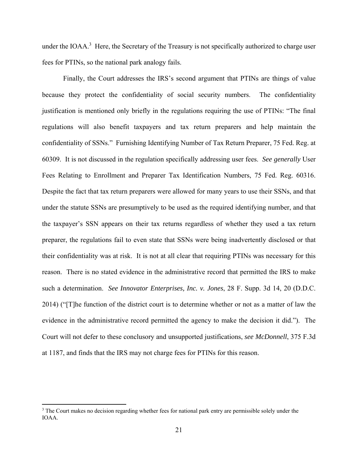under the IOAA.<sup>3</sup> Here, the Secretary of the Treasury is not specifically authorized to charge user fees for PTINs, so the national park analogy fails.

Finally, the Court addresses the IRS's second argument that PTINs are things of value because they protect the confidentiality of social security numbers. The confidentiality justification is mentioned only briefly in the regulations requiring the use of PTINs: "The final regulations will also benefit taxpayers and tax return preparers and help maintain the confidentiality of SSNs." Furnishing Identifying Number of Tax Return Preparer, 75 Fed. Reg. at 60309. It is not discussed in the regulation specifically addressing user fees. *See generally* User Fees Relating to Enrollment and Preparer Tax Identification Numbers, 75 Fed. Reg. 60316. Despite the fact that tax return preparers were allowed for many years to use their SSNs, and that under the statute SSNs are presumptively to be used as the required identifying number, and that the taxpayer's SSN appears on their tax returns regardless of whether they used a tax return preparer, the regulations fail to even state that SSNs were being inadvertently disclosed or that their confidentiality was at risk. It is not at all clear that requiring PTINs was necessary for this reason. There is no stated evidence in the administrative record that permitted the IRS to make such a determination. *See Innovator Enterprises, Inc. v. Jones*, 28 F. Supp. 3d 14, 20 (D.D.C. 2014) ("[T]he function of the district court is to determine whether or not as a matter of law the evidence in the administrative record permitted the agency to make the decision it did."). The Court will not defer to these conclusory and unsupported justifications, *see McDonnell*, 375 F.3d at 1187, and finds that the IRS may not charge fees for PTINs for this reason.

<sup>&</sup>lt;sup>3</sup> The Court makes no decision regarding whether fees for national park entry are permissible solely under the IOAA.